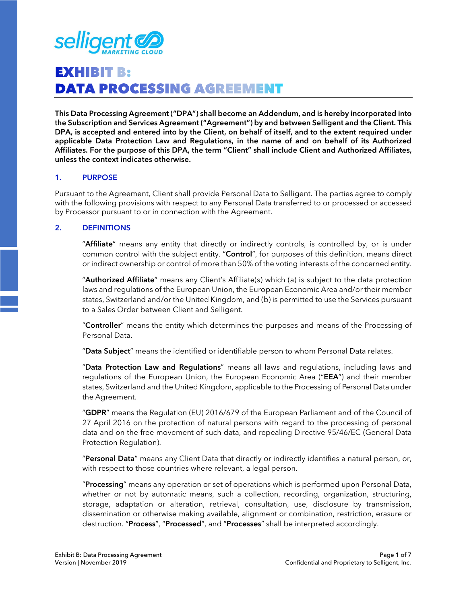

# **EXHIBIT B: DATA PROCESSING AGREEMENT**

**This Data Processing Agreement ("DPA") shall become an Addendum, and is hereby incorporated into the Subscription and Services Agreement ("Agreement") by and between Selligent and the Client. This DPA, is accepted and entered into by the Client, on behalf of itself, and to the extent required under applicable Data Protection Law and Regulations, in the name of and on behalf of its Authorized Affiliates. For the purpose of this DPA, the term "Client" shall include Client and Authorized Affiliates, unless the context indicates otherwise.** 

#### **1. PURPOSE**

Pursuant to the Agreement, Client shall provide Personal Data to Selligent. The parties agree to comply with the following provisions with respect to any Personal Data transferred to or processed or accessed by Processor pursuant to or in connection with the Agreement.

#### **2. DEFINITIONS**

"**Affiliate**" means any entity that directly or indirectly controls, is controlled by, or is under common control with the subject entity. "**Control**", for purposes of this definition, means direct or indirect ownership or control of more than 50% of the voting interests of the concerned entity.

"**Authorized Affiliate**" means any Client's Affiliate(s) which (a) is subject to the data protection laws and regulations of the European Union, the European Economic Area and/or their member states, Switzerland and/or the United Kingdom, and (b) is permitted to use the Services pursuant to a Sales Order between Client and Selligent.

"**Controller**" means the entity which determines the purposes and means of the Processing of Personal Data.

"**Data Subject**" means the identified or identifiable person to whom Personal Data relates.

"**Data Protection Law and Regulations**" means all laws and regulations, including laws and regulations of the European Union, the European Economic Area ("**EEA**") and their member states, Switzerland and the United Kingdom, applicable to the Processing of Personal Data under the Agreement.

"**GDPR**" means the Regulation (EU) 2016/679 of the European Parliament and of the Council of 27 April 2016 on the protection of natural persons with regard to the processing of personal data and on the free movement of such data, and repealing Directive 95/46/EC (General Data Protection Regulation).

"**Personal Data**" means any Client Data that directly or indirectly identifies a natural person, or, with respect to those countries where relevant, a legal person.

"**Processing**" means any operation or set of operations which is performed upon Personal Data, whether or not by automatic means, such a collection, recording, organization, structuring, storage, adaptation or alteration, retrieval, consultation, use, disclosure by transmission, dissemination or otherwise making available, alignment or combination, restriction, erasure or destruction. "**Process**", "**Processed**", and "**Processes**" shall be interpreted accordingly.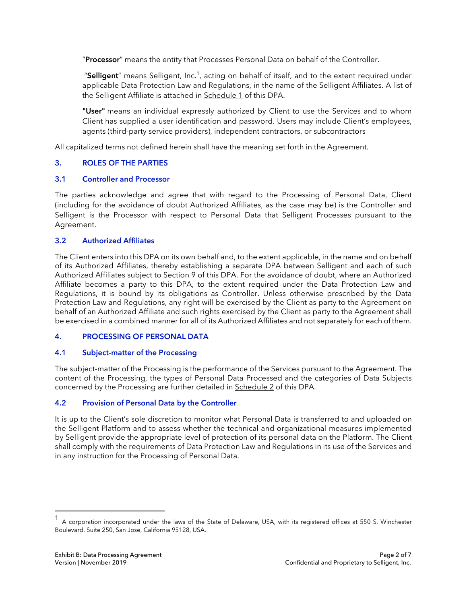"**Processor**" means the entity that Processes Personal Data on behalf of the Controller.

"Selligent" means Selligent, Inc.<sup>1</sup>, acting on behalf of itself, and to the extent required under applicable Data Protection Law and Regulations, in the name of the Selligent Affiliates. A list of the Selligent Affiliate is attached in Schedule 1 of this DPA.

**"User"** means an individual expressly authorized by Client to use the Services and to whom Client has supplied a user identification and password. Users may include Client's employees, agents (third-party service providers), independent contractors, or subcontractors

All capitalized terms not defined herein shall have the meaning set forth in the Agreement.

# **3. ROLES OF THE PARTIES**

# **3.1 Controller and Processor**

The parties acknowledge and agree that with regard to the Processing of Personal Data, Client (including for the avoidance of doubt Authorized Affiliates, as the case may be) is the Controller and Selligent is the Processor with respect to Personal Data that Selligent Processes pursuant to the Agreement.

#### **3.2 Authorized Affiliates**

The Client enters into this DPA on its own behalf and, to the extent applicable, in the name and on behalf of its Authorized Affiliates, thereby establishing a separate DPA between Selligent and each of such Authorized Affiliates subject to Section 9 of this DPA. For the avoidance of doubt, where an Authorized Affiliate becomes a party to this DPA, to the extent required under the Data Protection Law and Regulations, it is bound by its obligations as Controller. Unless otherwise prescribed by the Data Protection Law and Regulations, any right will be exercised by the Client as party to the Agreement on behalf of an Authorized Affiliate and such rights exercised by the Client as party to the Agreement shall be exercised in a combined manner for all of its Authorized Affiliates and not separately for each of them.

# **4. PROCESSING OF PERSONAL DATA**

# **4.1 Subject-matter of the Processing**

The subject-matter of the Processing is the performance of the Services pursuant to the Agreement. The content of the Processing, the types of Personal Data Processed and the categories of Data Subjects concerned by the Processing are further detailed in Schedule 2 of this DPA.

# **4.2 Provision of Personal Data by the Controller**

It is up to the Client's sole discretion to monitor what Personal Data is transferred to and uploaded on the Selligent Platform and to assess whether the technical and organizational measures implemented by Selligent provide the appropriate level of protection of its personal data on the Platform. The Client shall comply with the requirements of Data Protection Law and Regulations in its use of the Services and in any instruction for the Processing of Personal Data.

<sup>1</sup> A corporation incorporated under the laws of the State of Delaware, USA, with its registered offices at 550 S. Winchester Boulevard, Suite 250, San Jose, California 95128, USA.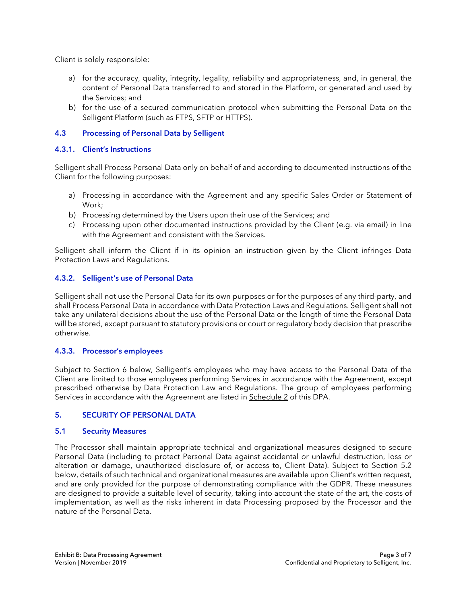Client is solely responsible:

- a) for the accuracy, quality, integrity, legality, reliability and appropriateness, and, in general, the content of Personal Data transferred to and stored in the Platform, or generated and used by the Services; and
- b) for the use of a secured communication protocol when submitting the Personal Data on the Selligent Platform (such as FTPS, SFTP or HTTPS).

# **4.3 Processing of Personal Data by Selligent**

# **4.3.1. Client's Instructions**

Selligent shall Process Personal Data only on behalf of and according to documented instructions of the Client for the following purposes:

- a) Processing in accordance with the Agreement and any specific Sales Order or Statement of Work;
- b) Processing determined by the Users upon their use of the Services; and
- c) Processing upon other documented instructions provided by the Client (e.g. via email) in line with the Agreement and consistent with the Services.

Selligent shall inform the Client if in its opinion an instruction given by the Client infringes Data Protection Laws and Regulations.

# **4.3.2. Selligent's use of Personal Data**

Selligent shall not use the Personal Data for its own purposes or for the purposes of any third-party, and shall Process Personal Data in accordance with Data Protection Laws and Regulations. Selligent shall not take any unilateral decisions about the use of the Personal Data or the length of time the Personal Data will be stored, except pursuant to statutory provisions or court or regulatory body decision that prescribe otherwise.

# **4.3.3. Processor's employees**

Subject to Section 6 below, Selligent's employees who may have access to the Personal Data of the Client are limited to those employees performing Services in accordance with the Agreement, except prescribed otherwise by Data Protection Law and Regulations. The group of employees performing Services in accordance with the Agreement are listed in Schedule 2 of this DPA.

# **5. SECURITY OF PERSONAL DATA**

# **5.1 Security Measures**

The Processor shall maintain appropriate technical and organizational measures designed to secure Personal Data (including to protect Personal Data against accidental or unlawful destruction, loss or alteration or damage, unauthorized disclosure of, or access to, Client Data). Subject to Section 5.2 below, details of such technical and organizational measures are available upon Client's written request, and are only provided for the purpose of demonstrating compliance with the GDPR. These measures are designed to provide a suitable level of security, taking into account the state of the art, the costs of implementation, as well as the risks inherent in data Processing proposed by the Processor and the nature of the Personal Data.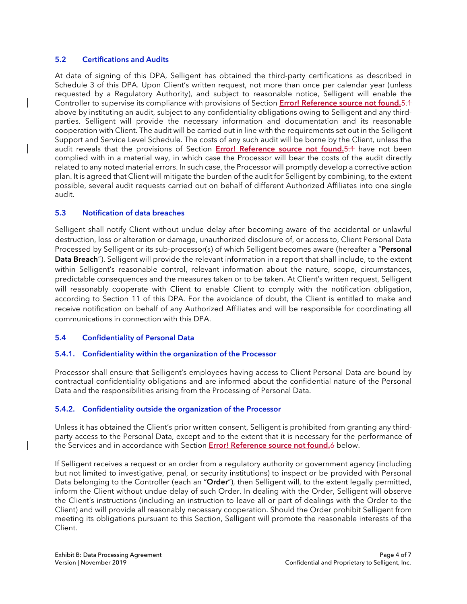#### **5.2 Certifications and Audits**

At date of signing of this DPA, Selligent has obtained the third-party certifications as described in Schedule 3 of this DPA. Upon Client's written request, not more than once per calendar year (unless requested by a Regulatory Authority), and subject to reasonable notice, Selligent will enable the Controller to supervise its compliance with provisions of Section **Error! Reference source not found.**5.1 above by instituting an audit, subject to any confidentiality obligations owing to Selligent and any thirdparties. Selligent will provide the necessary information and documentation and its reasonable cooperation with Client. The audit will be carried out in line with the requirements set out in the Selligent Support and Service Level Schedule. The costs of any such audit will be borne by the Client, unless the audit reveals that the provisions of Section **Error! Reference source not found.**5.1 have not been complied with in a material way, in which case the Processor will bear the costs of the audit directly related to any noted material errors. In such case, the Processor will promptly develop a corrective action plan. It is agreed that Client will mitigate the burden of the audit for Selligent by combining, to the extent possible, several audit requests carried out on behalf of different Authorized Affiliates into one single audit.

# **5.3 Notification of data breaches**

Selligent shall notify Client without undue delay after becoming aware of the accidental or unlawful destruction, loss or alteration or damage, unauthorized disclosure of, or access to, Client Personal Data Processed by Selligent or its sub-processor(s) of which Selligent becomes aware (hereafter a "**Personal Data Breach**"). Selligent will provide the relevant information in a report that shall include, to the extent within Selligent's reasonable control, relevant information about the nature, scope, circumstances, predictable consequences and the measures taken or to be taken. At Client's written request, Selligent will reasonably cooperate with Client to enable Client to comply with the notification obligation, according to Section 11 of this DPA. For the avoidance of doubt, the Client is entitled to make and receive notification on behalf of any Authorized Affiliates and will be responsible for coordinating all communications in connection with this DPA.

# **5.4 Confidentiality of Personal Data**

# **5.4.1. Confidentiality within the organization of the Processor**

Processor shall ensure that Selligent's employees having access to Client Personal Data are bound by contractual confidentiality obligations and are informed about the confidential nature of the Personal Data and the responsibilities arising from the Processing of Personal Data.

# **5.4.2. Confidentiality outside the organization of the Processor**

Unless it has obtained the Client's prior written consent, Selligent is prohibited from granting any thirdparty access to the Personal Data, except and to the extent that it is necessary for the performance of the Services and in accordance with Section **Error! Reference source not found.**6 below.

If Selligent receives a request or an order from a regulatory authority or government agency (including but not limited to investigative, penal, or security institutions) to inspect or be provided with Personal Data belonging to the Controller (each an "**Order**"), then Selligent will, to the extent legally permitted, inform the Client without undue delay of such Order. In dealing with the Order, Selligent will observe the Client's instructions (including an instruction to leave all or part of dealings with the Order to the Client) and will provide all reasonably necessary cooperation. Should the Order prohibit Selligent from meeting its obligations pursuant to this Section, Selligent will promote the reasonable interests of the Client.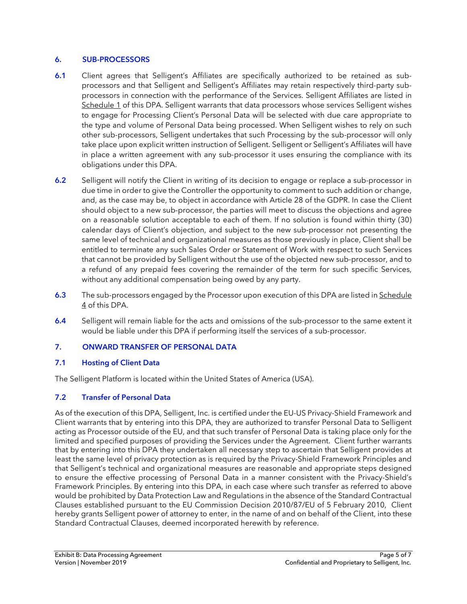# **6. SUB-PROCESSORS**

- **6.1** Client agrees that Selligent's Affiliates are specifically authorized to be retained as subprocessors and that Selligent and Selligent's Affiliates may retain respectively third-party subprocessors in connection with the performance of the Services. Selligent Affiliates are listed in Schedule 1 of this DPA. Selligent warrants that data processors whose services Selligent wishes to engage for Processing Client's Personal Data will be selected with due care appropriate to the type and volume of Personal Data being processed. When Selligent wishes to rely on such other sub-processors, Selligent undertakes that such Processing by the sub-processor will only take place upon explicit written instruction of Selligent. Selligent or Selligent's Affiliates will have in place a written agreement with any sub-processor it uses ensuring the compliance with its obligations under this DPA.
- **6.2** Selligent will notify the Client in writing of its decision to engage or replace a sub-processor in due time in order to give the Controller the opportunity to comment to such addition or change, and, as the case may be, to object in accordance with Article 28 of the GDPR. In case the Client should object to a new sub-processor, the parties will meet to discuss the objections and agree on a reasonable solution acceptable to each of them. If no solution is found within thirty (30) calendar days of Client's objection, and subject to the new sub-processor not presenting the same level of technical and organizational measures as those previously in place, Client shall be entitled to terminate any such Sales Order or Statement of Work with respect to such Services that cannot be provided by Selligent without the use of the objected new sub-processor, and to a refund of any prepaid fees covering the remainder of the term for such specific Services, without any additional compensation being owed by any party.
- **6.3** The sub-processors engaged by the Processor upon execution of this DPA are listed in Schedule 4 of this DPA.
- **6.4** Selligent will remain liable for the acts and omissions of the sub-processor to the same extent it would be liable under this DPA if performing itself the services of a sub-processor.

# **7. ONWARD TRANSFER OF PERSONAL DATA**

# **7.1 Hosting of Client Data**

The Selligent Platform is located within the United States of America (USA).

# **7.2 Transfer of Personal Data**

As of the execution of this DPA, Selligent, Inc. is certified under the EU-US Privacy-Shield Framework and Client warrants that by entering into this DPA, they are authorized to transfer Personal Data to Selligent acting as Processor outside of the EU, and that such transfer of Personal Data is taking place only for the limited and specified purposes of providing the Services under the Agreement. Client further warrants that by entering into this DPA they undertaken all necessary step to ascertain that Selligent provides at least the same level of privacy protection as is required by the Privacy-Shield Framework Principles and that Selligent's technical and organizational measures are reasonable and appropriate steps designed to ensure the effective processing of Personal Data in a manner consistent with the Privacy-Shield's Framework Principles. By entering into this DPA, in each case where such transfer as referred to above would be prohibited by Data Protection Law and Regulations in the absence of the Standard Contractual Clauses established pursuant to the EU Commission Decision 2010/87/EU of 5 February 2010, Client hereby grants Selligent power of attorney to enter, in the name of and on behalf of the Client, into these Standard Contractual Clauses, deemed incorporated herewith by reference.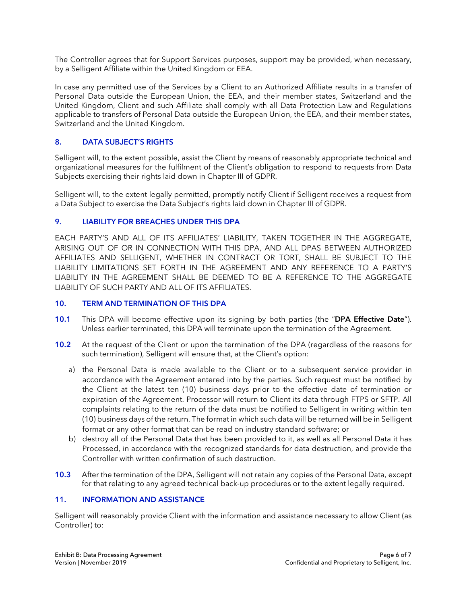The Controller agrees that for Support Services purposes, support may be provided, when necessary, by a Selligent Affiliate within the United Kingdom or EEA.

In case any permitted use of the Services by a Client to an Authorized Affiliate results in a transfer of Personal Data outside the European Union, the EEA, and their member states, Switzerland and the United Kingdom, Client and such Affiliate shall comply with all Data Protection Law and Regulations applicable to transfers of Personal Data outside the European Union, the EEA, and their member states, Switzerland and the United Kingdom.

# **8. DATA SUBJECT'S RIGHTS**

Selligent will, to the extent possible, assist the Client by means of reasonably appropriate technical and organizational measures for the fulfilment of the Client's obligation to respond to requests from Data Subjects exercising their rights laid down in Chapter III of GDPR.

Selligent will, to the extent legally permitted, promptly notify Client if Selligent receives a request from a Data Subject to exercise the Data Subject's rights laid down in Chapter III of GDPR.

# **9. LIABILITY FOR BREACHES UNDER THIS DPA**

EACH PARTY'S AND ALL OF ITS AFFILIATES' LIABILITY, TAKEN TOGETHER IN THE AGGREGATE, ARISING OUT OF OR IN CONNECTION WITH THIS DPA, AND ALL DPAS BETWEEN AUTHORIZED AFFILIATES AND SELLIGENT, WHETHER IN CONTRACT OR TORT, SHALL BE SUBJECT TO THE LIABILITY LIMITATIONS SET FORTH IN THE AGREEMENT AND ANY REFERENCE TO A PARTY'S LIABILITY IN THE AGREEMENT SHALL BE DEEMED TO BE A REFERENCE TO THE AGGREGATE LIABILITY OF SUCH PARTY AND ALL OF ITS AFFILIATES.

### **10. TERM AND TERMINATION OF THIS DPA**

- **10.1** This DPA will become effective upon its signing by both parties (the "**DPA Effective Date**"). Unless earlier terminated, this DPA will terminate upon the termination of the Agreement.
- **10.2** At the request of the Client or upon the termination of the DPA (regardless of the reasons for such termination), Selligent will ensure that, at the Client's option:
	- a) the Personal Data is made available to the Client or to a subsequent service provider in accordance with the Agreement entered into by the parties. Such request must be notified by the Client at the latest ten (10) business days prior to the effective date of termination or expiration of the Agreement. Processor will return to Client its data through FTPS or SFTP. All complaints relating to the return of the data must be notified to Selligent in writing within ten (10) business days of the return. The format in which such data will be returned will be in Selligent format or any other format that can be read on industry standard software; or
	- b) destroy all of the Personal Data that has been provided to it, as well as all Personal Data it has Processed, in accordance with the recognized standards for data destruction, and provide the Controller with written confirmation of such destruction.
- **10.3** After the termination of the DPA, Selligent will not retain any copies of the Personal Data, except for that relating to any agreed technical back-up procedures or to the extent legally required.

# **11. INFORMATION AND ASSISTANCE**

Selligent will reasonably provide Client with the information and assistance necessary to allow Client (as Controller) to: